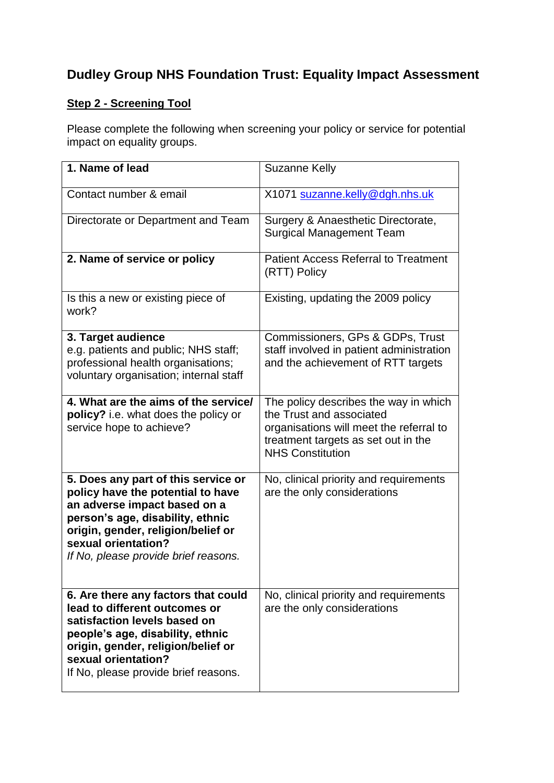## **Dudley Group NHS Foundation Trust: Equality Impact Assessment**

## **Step 2 - Screening Tool**

Please complete the following when screening your policy or service for potential impact on equality groups.

| 1. Name of lead                                                                                                                                                                                                                                   | <b>Suzanne Kelly</b>                                                                                                                                                           |
|---------------------------------------------------------------------------------------------------------------------------------------------------------------------------------------------------------------------------------------------------|--------------------------------------------------------------------------------------------------------------------------------------------------------------------------------|
| Contact number & email                                                                                                                                                                                                                            | X1071 suzanne.kelly@dgh.nhs.uk                                                                                                                                                 |
| Directorate or Department and Team                                                                                                                                                                                                                | Surgery & Anaesthetic Directorate,<br><b>Surgical Management Team</b>                                                                                                          |
| 2. Name of service or policy                                                                                                                                                                                                                      | <b>Patient Access Referral to Treatment</b><br>(RTT) Policy                                                                                                                    |
| Is this a new or existing piece of<br>work?                                                                                                                                                                                                       | Existing, updating the 2009 policy                                                                                                                                             |
| 3. Target audience<br>e.g. patients and public; NHS staff;<br>professional health organisations;<br>voluntary organisation; internal staff                                                                                                        | Commissioners, GPs & GDPs, Trust<br>staff involved in patient administration<br>and the achievement of RTT targets                                                             |
| 4. What are the aims of the service/<br>policy? i.e. what does the policy or<br>service hope to achieve?                                                                                                                                          | The policy describes the way in which<br>the Trust and associated<br>organisations will meet the referral to<br>treatment targets as set out in the<br><b>NHS Constitution</b> |
| 5. Does any part of this service or<br>policy have the potential to have<br>an adverse impact based on a<br>person's age, disability, ethnic<br>origin, gender, religion/belief or<br>sexual orientation?<br>If No, please provide brief reasons. | No, clinical priority and requirements<br>are the only considerations                                                                                                          |
| 6. Are there any factors that could<br>lead to different outcomes or<br>satisfaction levels based on<br>people's age, disability, ethnic<br>origin, gender, religion/belief or<br>sexual orientation?<br>If No, please provide brief reasons.     | No, clinical priority and requirements<br>are the only considerations                                                                                                          |